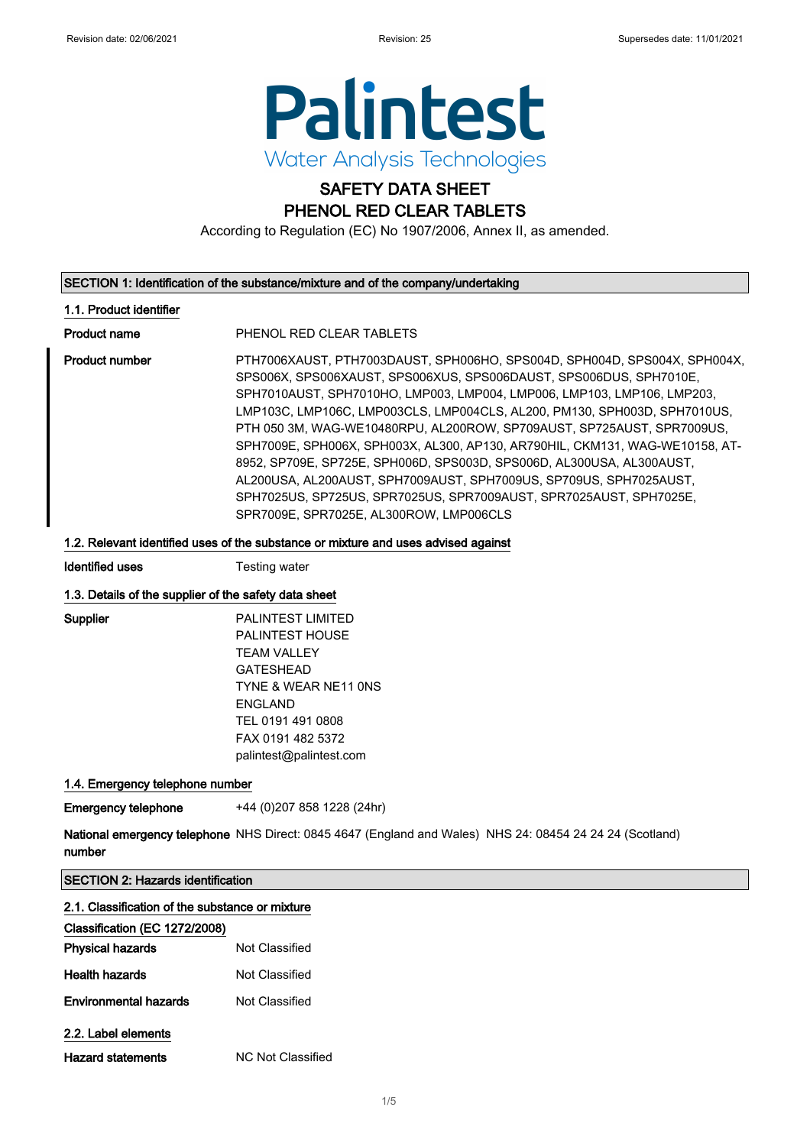

# SAFETY DATA SHEET

PHENOL RED CLEAR TABLETS

According to Regulation (EC) No 1907/2006, Annex II, as amended.

#### SECTION 1: Identification of the substance/mixture and of the company/undertaking

#### 1.1. Product identifier

Product name PHENOL RED CLEAR TABLETS

Product number PTH7006XAUST, PTH7003DAUST, SPH006HO, SPS004D, SPH004D, SPS004X, SPH004X, SPS006X, SPS006XAUST, SPS006XUS, SPS006DAUST, SPS006DUS, SPH7010E, SPH7010AUST, SPH7010HO, LMP003, LMP004, LMP006, LMP103, LMP106, LMP203, LMP103C, LMP106C, LMP003CLS, LMP004CLS, AL200, PM130, SPH003D, SPH7010US, PTH 050 3M, WAG-WE10480RPU, AL200ROW, SP709AUST, SP725AUST, SPR7009US, SPH7009E, SPH006X, SPH003X, AL300, AP130, AR790HIL, CKM131, WAG-WE10158, AT-8952, SP709E, SP725E, SPH006D, SPS003D, SPS006D, AL300USA, AL300AUST, AL200USA, AL200AUST, SPH7009AUST, SPH7009US, SP709US, SPH7025AUST, SPH7025US, SP725US, SPR7025US, SPR7009AUST, SPR7025AUST, SPH7025E, SPR7009E, SPR7025E, AL300ROW, LMP006CLS

#### 1.2. Relevant identified uses of the substance or mixture and uses advised against

**Identified uses** Testing water

#### 1.3. Details of the supplier of the safety data sheet

Supplier PALINTEST LIMITED PALINTEST HOUSE TEAM VALLEY GATESHEAD TYNE & WEAR NE11 0NS ENGLAND TEL 0191 491 0808 FAX 0191 482 5372 palintest@palintest.com

### 1.4. Emergency telephone number

Emergency telephone +44 (0)207 858 1228 (24hr)

**National emergency telephone** NHS Direct: 0845 4647 (England and Wales) NHS 24: 08454 24 24 24 (Scotland) number

## SECTION 2: Hazards identification

| 2.1. Classification of the substance or mixture<br>Classification (EC 1272/2008) |                |  |
|----------------------------------------------------------------------------------|----------------|--|
|                                                                                  |                |  |
| <b>Health hazards</b>                                                            | Not Classified |  |
| <b>Environmental hazards</b>                                                     | Not Classified |  |
| 2.2. Label elements                                                              |                |  |

| <b>Hazard statements</b> | NC Not Classified |
|--------------------------|-------------------|
|                          |                   |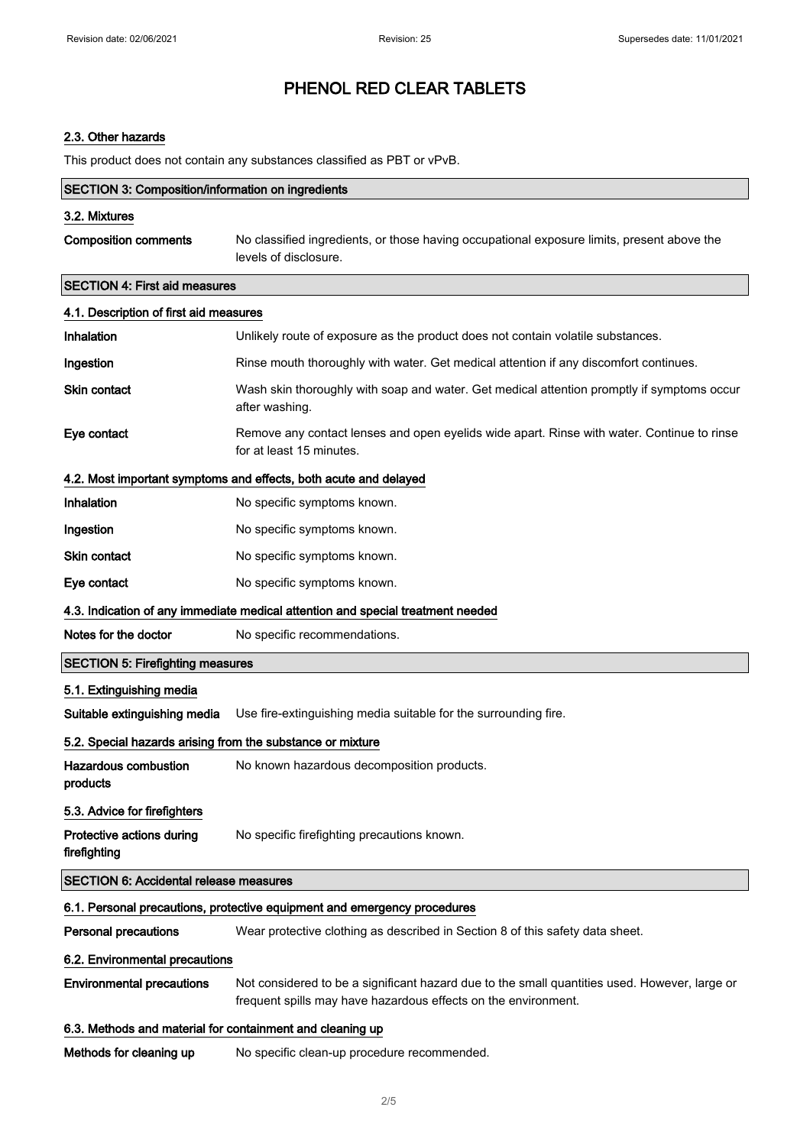## 2.3. Other hazards

This product does not contain any substances classified as PBT or vPvB.

| <b>SECTION 3: Composition/information on ingredients</b>         |                                                                                                                                                                 |  |  |
|------------------------------------------------------------------|-----------------------------------------------------------------------------------------------------------------------------------------------------------------|--|--|
| 3.2. Mixtures                                                    |                                                                                                                                                                 |  |  |
| <b>Composition comments</b>                                      | No classified ingredients, or those having occupational exposure limits, present above the<br>levels of disclosure.                                             |  |  |
| <b>SECTION 4: First aid measures</b>                             |                                                                                                                                                                 |  |  |
| 4.1. Description of first aid measures                           |                                                                                                                                                                 |  |  |
| Inhalation                                                       | Unlikely route of exposure as the product does not contain volatile substances.                                                                                 |  |  |
| Ingestion                                                        | Rinse mouth thoroughly with water. Get medical attention if any discomfort continues.                                                                           |  |  |
| Skin contact                                                     | Wash skin thoroughly with soap and water. Get medical attention promptly if symptoms occur<br>after washing.                                                    |  |  |
| Eye contact                                                      | Remove any contact lenses and open eyelids wide apart. Rinse with water. Continue to rinse<br>for at least 15 minutes.                                          |  |  |
| 4.2. Most important symptoms and effects, both acute and delayed |                                                                                                                                                                 |  |  |
| Inhalation                                                       | No specific symptoms known.                                                                                                                                     |  |  |
| Ingestion                                                        | No specific symptoms known.                                                                                                                                     |  |  |
| Skin contact                                                     | No specific symptoms known.                                                                                                                                     |  |  |
| Eye contact                                                      | No specific symptoms known.                                                                                                                                     |  |  |
|                                                                  | 4.3. Indication of any immediate medical attention and special treatment needed                                                                                 |  |  |
| Notes for the doctor                                             | No specific recommendations.                                                                                                                                    |  |  |
| <b>SECTION 5: Firefighting measures</b>                          |                                                                                                                                                                 |  |  |
| 5.1. Extinguishing media                                         |                                                                                                                                                                 |  |  |
| Suitable extinguishing media                                     | Use fire-extinguishing media suitable for the surrounding fire.                                                                                                 |  |  |
| 5.2. Special hazards arising from the substance or mixture       |                                                                                                                                                                 |  |  |
| <b>Hazardous combustion</b><br>products                          | No known hazardous decomposition products.                                                                                                                      |  |  |
| 5.3. Advice for firefighters                                     |                                                                                                                                                                 |  |  |
| Protective actions during<br>firefighting                        | No specific firefighting precautions known.                                                                                                                     |  |  |
| <b>SECTION 6: Accidental release measures</b>                    |                                                                                                                                                                 |  |  |
|                                                                  | 6.1. Personal precautions, protective equipment and emergency procedures                                                                                        |  |  |
| <b>Personal precautions</b>                                      | Wear protective clothing as described in Section 8 of this safety data sheet.                                                                                   |  |  |
| 6.2. Environmental precautions                                   |                                                                                                                                                                 |  |  |
| <b>Environmental precautions</b>                                 | Not considered to be a significant hazard due to the small quantities used. However, large or<br>frequent spills may have hazardous effects on the environment. |  |  |
| 6.3. Methods and material for containment and cleaning up        |                                                                                                                                                                 |  |  |
| Methods for cleaning up                                          | No specific clean-up procedure recommended.                                                                                                                     |  |  |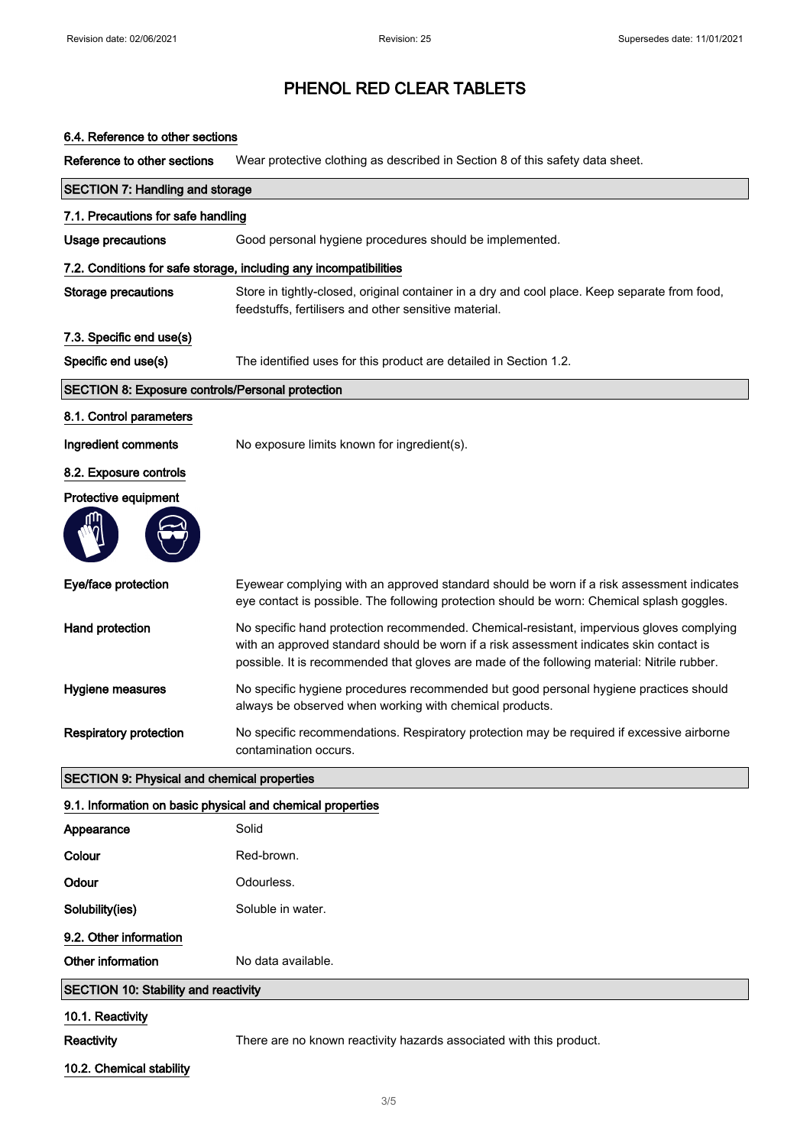## 6.4. Reference to other sections

Reference to other sections Wear protective clothing as described in Section 8 of this safety data sheet.

| <b>SECTION 7: Handling and storage</b>                     |                                                                                                                                                                                                                                                                                    |  |
|------------------------------------------------------------|------------------------------------------------------------------------------------------------------------------------------------------------------------------------------------------------------------------------------------------------------------------------------------|--|
| 7.1. Precautions for safe handling                         |                                                                                                                                                                                                                                                                                    |  |
| Usage precautions                                          | Good personal hygiene procedures should be implemented.                                                                                                                                                                                                                            |  |
|                                                            | 7.2. Conditions for safe storage, including any incompatibilities                                                                                                                                                                                                                  |  |
| <b>Storage precautions</b>                                 | Store in tightly-closed, original container in a dry and cool place. Keep separate from food,<br>feedstuffs, fertilisers and other sensitive material.                                                                                                                             |  |
| 7.3. Specific end use(s)                                   |                                                                                                                                                                                                                                                                                    |  |
| Specific end use(s)                                        | The identified uses for this product are detailed in Section 1.2.                                                                                                                                                                                                                  |  |
| SECTION 8: Exposure controls/Personal protection           |                                                                                                                                                                                                                                                                                    |  |
| 8.1. Control parameters                                    |                                                                                                                                                                                                                                                                                    |  |
| Ingredient comments                                        | No exposure limits known for ingredient(s).                                                                                                                                                                                                                                        |  |
| 8.2. Exposure controls                                     |                                                                                                                                                                                                                                                                                    |  |
| Protective equipment                                       |                                                                                                                                                                                                                                                                                    |  |
|                                                            |                                                                                                                                                                                                                                                                                    |  |
| Eye/face protection                                        | Eyewear complying with an approved standard should be worn if a risk assessment indicates<br>eye contact is possible. The following protection should be worn: Chemical splash goggles.                                                                                            |  |
| Hand protection                                            | No specific hand protection recommended. Chemical-resistant, impervious gloves complying<br>with an approved standard should be worn if a risk assessment indicates skin contact is<br>possible. It is recommended that gloves are made of the following material: Nitrile rubber. |  |
| Hygiene measures                                           | No specific hygiene procedures recommended but good personal hygiene practices should<br>always be observed when working with chemical products.                                                                                                                                   |  |
| <b>Respiratory protection</b>                              | No specific recommendations. Respiratory protection may be required if excessive airborne<br>contamination occurs.                                                                                                                                                                 |  |
| <b>SECTION 9: Physical and chemical properties</b>         |                                                                                                                                                                                                                                                                                    |  |
| 9.1. Information on basic physical and chemical properties |                                                                                                                                                                                                                                                                                    |  |
| Appearance                                                 | Solid                                                                                                                                                                                                                                                                              |  |
| Colour                                                     | Red-brown.                                                                                                                                                                                                                                                                         |  |
| Odour                                                      | Odourless.                                                                                                                                                                                                                                                                         |  |
| Solubility(ies)                                            | Soluble in water.                                                                                                                                                                                                                                                                  |  |
| 9.2. Other information                                     |                                                                                                                                                                                                                                                                                    |  |
| Other information                                          | No data available.                                                                                                                                                                                                                                                                 |  |
| <b>SECTION 10: Stability and reactivity</b>                |                                                                                                                                                                                                                                                                                    |  |
| 10.1. Reactivity                                           |                                                                                                                                                                                                                                                                                    |  |
| Reactivity                                                 | There are no known reactivity hazards associated with this product.                                                                                                                                                                                                                |  |
| 10.2. Chemical stability                                   |                                                                                                                                                                                                                                                                                    |  |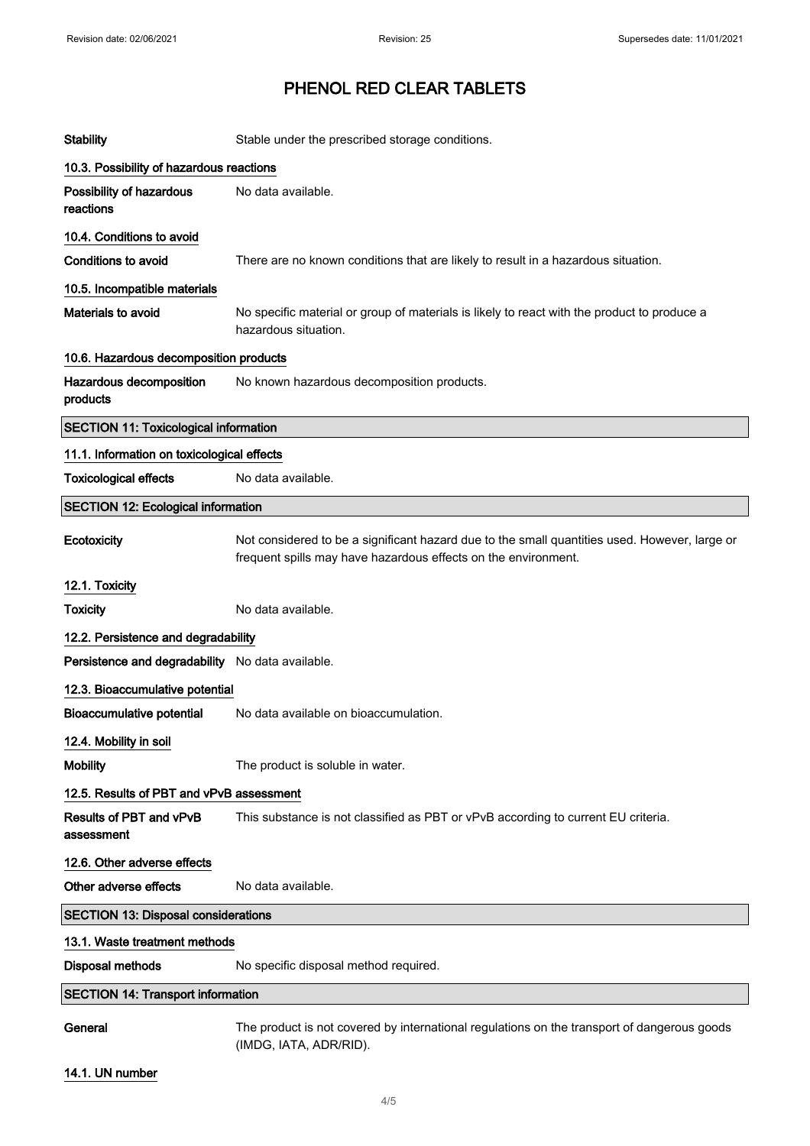| <b>Stability</b>                                 | Stable under the prescribed storage conditions.                                                                                                                 |  |
|--------------------------------------------------|-----------------------------------------------------------------------------------------------------------------------------------------------------------------|--|
| 10.3. Possibility of hazardous reactions         |                                                                                                                                                                 |  |
| Possibility of hazardous<br>reactions            | No data available.                                                                                                                                              |  |
| 10.4. Conditions to avoid                        |                                                                                                                                                                 |  |
| <b>Conditions to avoid</b>                       | There are no known conditions that are likely to result in a hazardous situation.                                                                               |  |
| 10.5. Incompatible materials                     |                                                                                                                                                                 |  |
| Materials to avoid                               | No specific material or group of materials is likely to react with the product to produce a<br>hazardous situation.                                             |  |
| 10.6. Hazardous decomposition products           |                                                                                                                                                                 |  |
| Hazardous decomposition<br>products              | No known hazardous decomposition products.                                                                                                                      |  |
| <b>SECTION 11: Toxicological information</b>     |                                                                                                                                                                 |  |
| 11.1. Information on toxicological effects       |                                                                                                                                                                 |  |
| <b>Toxicological effects</b>                     | No data available.                                                                                                                                              |  |
| <b>SECTION 12: Ecological information</b>        |                                                                                                                                                                 |  |
| Ecotoxicity                                      | Not considered to be a significant hazard due to the small quantities used. However, large or<br>frequent spills may have hazardous effects on the environment. |  |
| 12.1. Toxicity                                   |                                                                                                                                                                 |  |
| <b>Toxicity</b>                                  | No data available.                                                                                                                                              |  |
| 12.2. Persistence and degradability              |                                                                                                                                                                 |  |
| Persistence and degradability No data available. |                                                                                                                                                                 |  |
| 12.3. Bioaccumulative potential                  |                                                                                                                                                                 |  |
| <b>Bioaccumulative potential</b>                 | No data available on bioaccumulation.                                                                                                                           |  |
| 12.4. Mobility in soil                           |                                                                                                                                                                 |  |
| <b>Mobility</b>                                  | The product is soluble in water.                                                                                                                                |  |
| 12.5. Results of PBT and vPvB assessment         |                                                                                                                                                                 |  |
| <b>Results of PBT and vPvB</b><br>assessment     | This substance is not classified as PBT or vPvB according to current EU criteria.                                                                               |  |
| 12.6. Other adverse effects                      |                                                                                                                                                                 |  |
| Other adverse effects                            | No data available.                                                                                                                                              |  |
| <b>SECTION 13: Disposal considerations</b>       |                                                                                                                                                                 |  |
| 13.1. Waste treatment methods                    |                                                                                                                                                                 |  |
| <b>Disposal methods</b>                          | No specific disposal method required.                                                                                                                           |  |
| <b>SECTION 14: Transport information</b>         |                                                                                                                                                                 |  |
| General                                          | The product is not covered by international regulations on the transport of dangerous goods<br>(IMDG, IATA, ADR/RID).                                           |  |
| 14.1. UN number                                  |                                                                                                                                                                 |  |